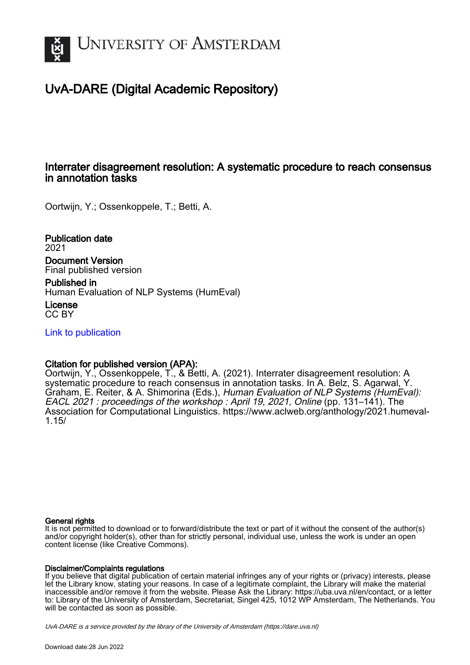

# UvA-DARE (Digital Academic Repository)

# Interrater disagreement resolution: A systematic procedure to reach consensus in annotation tasks

Oortwijn, Y.; Ossenkoppele, T.; Betti, A.

Publication date 2021 Document Version Final published version

Published in Human Evaluation of NLP Systems (HumEval)

License CC BY

[Link to publication](https://dare.uva.nl/personal/pure/en/publications/interrater-disagreement-resolution-a-systematic-procedure-to-reach-consensus-in-annotation-tasks(bc74992d-53c2-4b6d-b16e-584736f934f8).html)

# Citation for published version (APA):

Oortwijn, Y., Ossenkoppele, T., & Betti, A. (2021). Interrater disagreement resolution: A systematic procedure to reach consensus in annotation tasks. In A. Belz, S. Agarwal, Y. Graham, E. Reiter, & A. Shimorina (Eds.), Human Evaluation of NLP Systems (HumEval): EACL 2021 : proceedings of the workshop : April 19, 2021, Online (pp. 131–141). The Association for Computational Linguistics. [https://www.aclweb.org/anthology/2021.humeval-](https://www.aclweb.org/anthology/2021.humeval-1.15/)[1.15/](https://www.aclweb.org/anthology/2021.humeval-1.15/)

#### General rights

It is not permitted to download or to forward/distribute the text or part of it without the consent of the author(s) and/or copyright holder(s), other than for strictly personal, individual use, unless the work is under an open content license (like Creative Commons).

#### Disclaimer/Complaints regulations

If you believe that digital publication of certain material infringes any of your rights or (privacy) interests, please let the Library know, stating your reasons. In case of a legitimate complaint, the Library will make the material inaccessible and/or remove it from the website. Please Ask the Library: https://uba.uva.nl/en/contact, or a letter to: Library of the University of Amsterdam, Secretariat, Singel 425, 1012 WP Amsterdam, The Netherlands. You will be contacted as soon as possible.

UvA-DARE is a service provided by the library of the University of Amsterdam (http*s*://dare.uva.nl)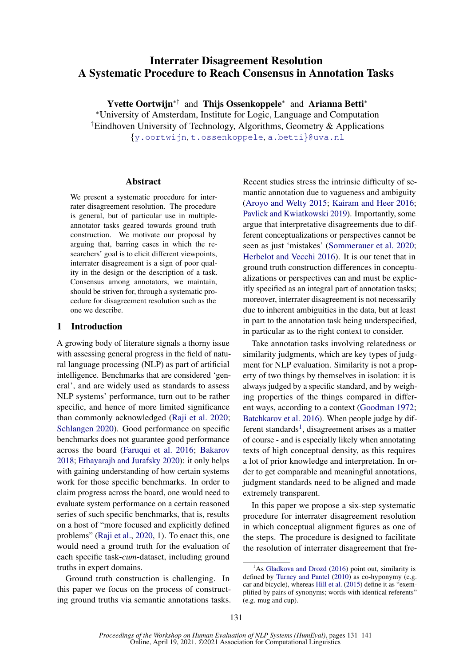# Interrater Disagreement Resolution A Systematic Procedure to Reach Consensus in Annotation Tasks

Yvette Oortwijn<sup>∗†</sup> and Thijs Ossenkoppele<sup>∗</sup> and Arianna Betti<sup>∗</sup> <sup>∗</sup>University of Amsterdam, Institute for Logic, Language and Computation †Eindhoven University of Technology, Algorithms, Geometry & Applications {[y.oortwijn](mailto:y.oortwijn@uva.nl), [t.ossenkoppele](mailto:t.ossenkoppele@uva.nl), [a.betti](mailto:a.betti@uva.nl)}@uva.nl

#### Abstract

We present a systematic procedure for interrater disagreement resolution. The procedure is general, but of particular use in multipleannotator tasks geared towards ground truth construction. We motivate our proposal by arguing that, barring cases in which the researchers' goal is to elicit different viewpoints, interrater disagreement is a sign of poor quality in the design or the description of a task. Consensus among annotators, we maintain, should be striven for, through a systematic procedure for disagreement resolution such as the one we describe.

# 1 Introduction

A growing body of literature signals a thorny issue with assessing general progress in the field of natural language processing (NLP) as part of artificial intelligence. Benchmarks that are considered 'general', and are widely used as standards to assess NLP systems' performance, turn out to be rather specific, and hence of more limited significance than commonly acknowledged [\(Raji et al.](#page-11-0) [2020;](#page-11-0) [Schlangen](#page-11-1) [2020\)](#page-11-1). Good performance on specific benchmarks does not guarantee good performance across the board [\(Faruqui et al.](#page-10-0) [2016;](#page-10-0) [Bakarov](#page-10-1) [2018;](#page-10-1) [Ethayarajh and Jurafsky](#page-10-2) [2020\)](#page-10-2): it only helps with gaining understanding of how certain systems work for those specific benchmarks. In order to claim progress across the board, one would need to evaluate system performance on a certain reasoned series of such specific benchmarks, that is, results on a host of "more focused and explicitly defined problems" [\(Raji et al.,](#page-11-0) [2020,](#page-11-0) 1). To enact this, one would need a ground truth for the evaluation of each specific task-*cum*-dataset, including ground truths in expert domains.

Ground truth construction is challenging. In this paper we focus on the process of constructing ground truths via semantic annotations tasks.

Recent studies stress the intrinsic difficulty of semantic annotation due to vagueness and ambiguity [\(Aroyo and Welty](#page-10-3) [2015;](#page-10-3) [Kairam and Heer](#page-10-4) [2016;](#page-10-4) [Pavlick and Kwiatkowski](#page-11-2) [2019\)](#page-11-2). Importantly, some argue that interpretative disagreements due to different conceptualizations or perspectives cannot be seen as just 'mistakes' [\(Sommerauer et al.](#page-11-3) [2020;](#page-11-3) [Herbelot and Vecchi](#page-10-5) [2016\)](#page-10-5). It is our tenet that in ground truth construction differences in conceptualizations or perspectives can and must be explicitly specified as an integral part of annotation tasks; moreover, interrater disagreement is not necessarily due to inherent ambiguities in the data, but at least in part to the annotation task being underspecified, in particular as to the right context to consider.

Take annotation tasks involving relatedness or similarity judgments, which are key types of judgment for NLP evaluation. Similarity is not a property of two things by themselves in isolation: it is always judged by a specific standard, and by weighing properties of the things compared in different ways, according to a context [\(Goodman](#page-10-6) [1972;](#page-10-6) [Batchkarov et al.](#page-10-7) [2016\)](#page-10-7). When people judge by dif-ferent standards<sup>[1](#page-1-0)</sup>, disagreement arises as a matter of course - and is especially likely when annotating texts of high conceptual density, as this requires a lot of prior knowledge and interpretation. In order to get comparable and meaningful annotations, judgment standards need to be aligned and made extremely transparent.

In this paper we propose a six-step systematic procedure for interrater disagreement resolution in which conceptual alignment figures as one of the steps. The procedure is designed to facilitate the resolution of interrater disagreement that fre-

<span id="page-1-0"></span> $<sup>1</sup>$ As [Gladkova and Drozd](#page-10-8) [\(2016\)](#page-10-8) point out, similarity is</sup> defined by [Turney and Pantel](#page-11-4) [\(2010\)](#page-11-4) as co-hyponymy (e.g. car and bicycle), whereas [Hill et al.](#page-10-9) [\(2015\)](#page-10-9) define it as "exemplified by pairs of synonyms; words with identical referents" (e.g. mug and cup).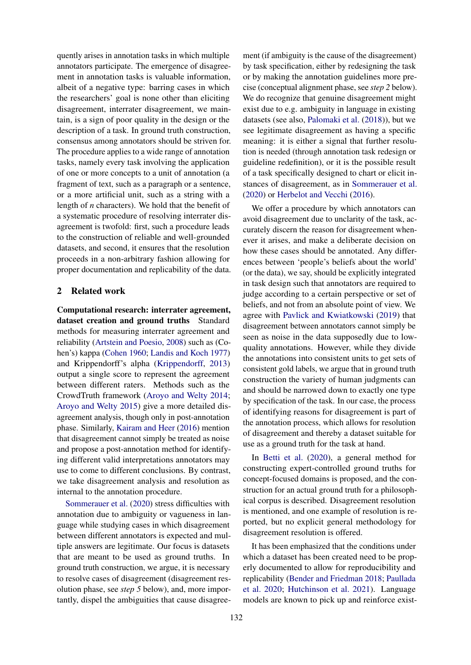quently arises in annotation tasks in which multiple annotators participate. The emergence of disagreement in annotation tasks is valuable information, albeit of a negative type: barring cases in which the researchers' goal is none other than eliciting disagreement, interrater disagreement, we maintain, is a sign of poor quality in the design or the description of a task. In ground truth construction, consensus among annotators should be striven for. The procedure applies to a wide range of annotation tasks, namely every task involving the application of one or more concepts to a unit of annotation (a fragment of text, such as a paragraph or a sentence, or a more artificial unit, such as a string with a length of *n* characters). We hold that the benefit of a systematic procedure of resolving interrater disagreement is twofold: first, such a procedure leads to the construction of reliable and well-grounded datasets, and second, it ensures that the resolution proceeds in a non-arbitrary fashion allowing for proper documentation and replicability of the data.

## 2 Related work

Computational research: interrater agreement, dataset creation and ground truths Standard methods for measuring interrater agreement and reliability [\(Artstein and Poesio,](#page-10-10) [2008\)](#page-10-10) such as (Cohen's) kappa [\(Cohen](#page-10-11) [1960;](#page-10-11) [Landis and Koch](#page-11-5) [1977\)](#page-11-5) and Krippendorff's alpha [\(Krippendorff,](#page-11-6) [2013\)](#page-11-6) output a single score to represent the agreement between different raters. Methods such as the CrowdTruth framework [\(Aroyo and Welty](#page-10-12) [2014;](#page-10-12) [Aroyo and Welty](#page-10-3) [2015\)](#page-10-3) give a more detailed disagreement analysis, though only in post-annotation phase. Similarly, [Kairam and Heer](#page-10-4) [\(2016\)](#page-10-4) mention that disagreement cannot simply be treated as noise and propose a post-annotation method for identifying different valid interpretations annotators may use to come to different conclusions. By contrast, we take disagreement analysis and resolution as internal to the annotation procedure.

[Sommerauer et al.](#page-11-3) [\(2020\)](#page-11-3) stress difficulties with annotation due to ambiguity or vagueness in language while studying cases in which disagreement between different annotators is expected and multiple answers are legitimate. Our focus is datasets that are meant to be used as ground truths. In ground truth construction, we argue, it is necessary to resolve cases of disagreement (disagreement resolution phase, see *step 5* below), and, more importantly, dispel the ambiguities that cause disagree-

ment (if ambiguity is the cause of the disagreement) by task specification, either by redesigning the task or by making the annotation guidelines more precise (conceptual alignment phase, see *step 2* below). We do recognize that genuine disagreement might exist due to e.g. ambiguity in language in existing datasets (see also, [Palomaki et al.](#page-11-7) [\(2018\)](#page-11-7)), but we see legitimate disagreement as having a specific meaning: it is either a signal that further resolution is needed (through annotation task redesign or guideline redefinition), or it is the possible result of a task specifically designed to chart or elicit instances of disagreement, as in [Sommerauer et al.](#page-11-3) [\(2020\)](#page-11-3) or [Herbelot and Vecchi](#page-10-5) [\(2016\)](#page-10-5).

We offer a procedure by which annotators can avoid disagreement due to unclarity of the task, accurately discern the reason for disagreement whenever it arises, and make a deliberate decision on how these cases should be annotated. Any differences between 'people's beliefs about the world' (or the data), we say, should be explicitly integrated in task design such that annotators are required to judge according to a certain perspective or set of beliefs, and not from an absolute point of view. We agree with [Pavlick and Kwiatkowski](#page-11-2) [\(2019\)](#page-11-2) that disagreement between annotators cannot simply be seen as noise in the data supposedly due to lowquality annotations. However, while they divide the annotations into consistent units to get sets of consistent gold labels, we argue that in ground truth construction the variety of human judgments can and should be narrowed down to exactly one type by specification of the task. In our case, the process of identifying reasons for disagreement is part of the annotation process, which allows for resolution of disagreement and thereby a dataset suitable for use as a ground truth for the task at hand.

In [Betti et al.](#page-10-13) [\(2020\)](#page-10-13), a general method for constructing expert-controlled ground truths for concept-focused domains is proposed, and the construction for an actual ground truth for a philosophical corpus is described. Disagreement resolution is mentioned, and one example of resolution is reported, but no explicit general methodology for disagreement resolution is offered.

It has been emphasized that the conditions under which a dataset has been created need to be properly documented to allow for reproducibility and replicability [\(Bender and Friedman](#page-10-14) [2018;](#page-10-14) [Paullada](#page-11-8) [et al.](#page-11-8) [2020;](#page-11-8) [Hutchinson et al.](#page-10-15) [2021\)](#page-10-15). Language models are known to pick up and reinforce exist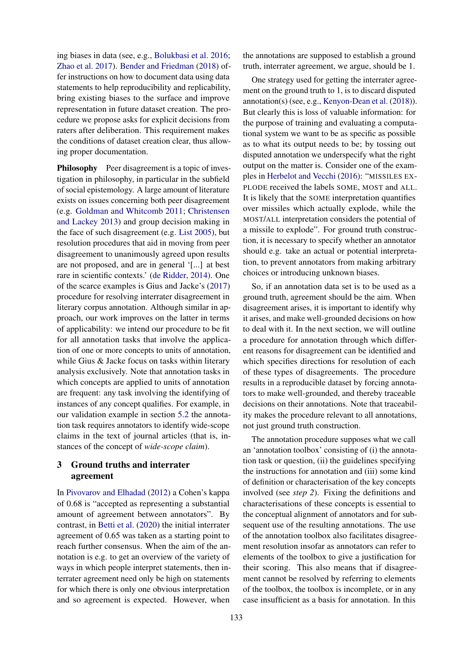ing biases in data (see, e.g., [Bolukbasi et al.](#page-10-16) [2016;](#page-10-16) [Zhao et al.](#page-11-9) [2017\)](#page-11-9). [Bender and Friedman](#page-10-14) [\(2018\)](#page-10-14) offer instructions on how to document data using data statements to help reproducibility and replicability, bring existing biases to the surface and improve representation in future dataset creation. The procedure we propose asks for explicit decisions from raters after deliberation. This requirement makes the conditions of dataset creation clear, thus allowing proper documentation.

Philosophy Peer disagreement is a topic of investigation in philosophy, in particular in the subfield of social epistemology. A large amount of literature exists on issues concerning both peer disagreement (e.g. [Goldman and Whitcomb](#page-10-17) [2011;](#page-10-17) [Christensen](#page-10-18) [and Lackey](#page-10-18) [2013\)](#page-10-18) and group decision making in the face of such disagreement (e.g. [List](#page-11-10) [2005\)](#page-11-10), but resolution procedures that aid in moving from peer disagreement to unanimously agreed upon results are not proposed, and are in general '[...] at best rare in scientific contexts.' [\(de Ridder,](#page-10-19) [2014\)](#page-10-19). One of the scarce examples is Gius and Jacke's [\(2017\)](#page-10-20) procedure for resolving interrater disagreement in literary corpus annotation. Although similar in approach, our work improves on the latter in terms of applicability: we intend our procedure to be fit for all annotation tasks that involve the application of one or more concepts to units of annotation, while Gius & Jacke focus on tasks within literary analysis exclusively. Note that annotation tasks in which concepts are applied to units of annotation are frequent: any task involving the identifying of instances of any concept qualifies. For example, in our validation example in section [5.2](#page-8-0) the annotation task requires annotators to identify wide-scope claims in the text of journal articles (that is, instances of the concept of *wide-scope claim*).

# <span id="page-3-0"></span>3 Ground truths and interrater agreement

In [Pivovarov and Elhadad](#page-11-11) [\(2012\)](#page-11-11) a Cohen's kappa of 0.68 is "accepted as representing a substantial amount of agreement between annotators". By contrast, in [Betti et al.](#page-10-13) [\(2020\)](#page-10-13) the initial interrater agreement of 0.65 was taken as a starting point to reach further consensus. When the aim of the annotation is e.g. to get an overview of the variety of ways in which people interpret statements, then interrater agreement need only be high on statements for which there is only one obvious interpretation and so agreement is expected. However, when the annotations are supposed to establish a ground truth, interrater agreement, we argue, should be 1.

One strategy used for getting the interrater agreement on the ground truth to 1, is to discard disputed annotation(s) (see, e.g., [Kenyon-Dean et al.](#page-10-21) [\(2018\)](#page-10-21)). But clearly this is loss of valuable information: for the purpose of training and evaluating a computational system we want to be as specific as possible as to what its output needs to be; by tossing out disputed annotation we underspecify what the right output on the matter is. Consider one of the examples in [Herbelot and Vecchi](#page-10-5) [\(2016\)](#page-10-5): "MISSILES EX-PLODE received the labels SOME, MOST and ALL. It is likely that the SOME interpretation quantifies over missiles which actually explode, while the MOST/ALL interpretation considers the potential of a missile to explode". For ground truth construction, it is necessary to specify whether an annotator should e.g. take an actual or potential interpretation, to prevent annotators from making arbitrary choices or introducing unknown biases.

So, if an annotation data set is to be used as a ground truth, agreement should be the aim. When disagreement arises, it is important to identify why it arises, and make well-grounded decisions on how to deal with it. In the next section, we will outline a procedure for annotation through which different reasons for disagreement can be identified and which specifies directions for resolution of each of these types of disagreements. The procedure results in a reproducible dataset by forcing annotators to make well-grounded, and thereby traceable decisions on their annotations. Note that traceability makes the procedure relevant to all annotations, not just ground truth construction.

The annotation procedure supposes what we call an 'annotation toolbox' consisting of (i) the annotation task or question, (ii) the guidelines specifying the instructions for annotation and (iii) some kind of definition or characterisation of the key concepts involved (see *step 2*). Fixing the definitions and characterisations of these concepts is essential to the conceptual alignment of annotators and for subsequent use of the resulting annotations. The use of the annotation toolbox also facilitates disagreement resolution insofar as annotators can refer to elements of the toolbox to give a justification for their scoring. This also means that if disagreement cannot be resolved by referring to elements of the toolbox, the toolbox is incomplete, or in any case insufficient as a basis for annotation. In this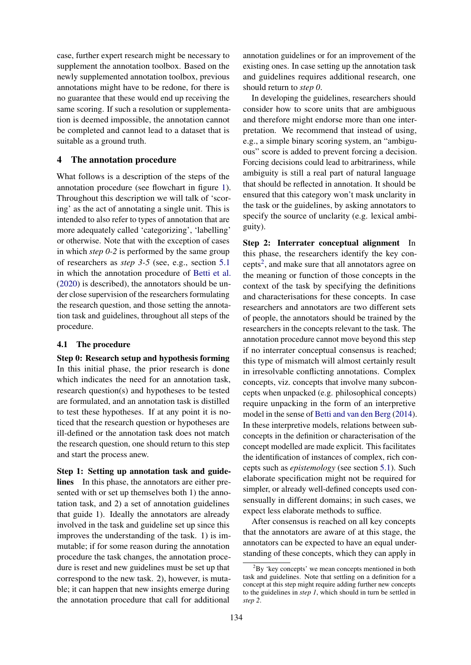case, further expert research might be necessary to supplement the annotation toolbox. Based on the newly supplemented annotation toolbox, previous annotations might have to be redone, for there is no guarantee that these would end up receiving the same scoring. If such a resolution or supplementation is deemed impossible, the annotation cannot be completed and cannot lead to a dataset that is suitable as a ground truth.

#### <span id="page-4-1"></span>4 The annotation procedure

What follows is a description of the steps of the annotation procedure (see flowchart in figure [1\)](#page-5-0). Throughout this description we will talk of 'scoring' as the act of annotating a single unit. This is intended to also refer to types of annotation that are more adequately called 'categorizing', 'labelling' or otherwise. Note that with the exception of cases in which *step 0-2* is performed by the same group of researchers as *step 3-5* (see, e.g., section [5.1](#page-7-0) in which the annotation procedure of [Betti et al.](#page-10-13) [\(2020\)](#page-10-13) is described), the annotators should be under close supervision of the researchers formulating the research question, and those setting the annotation task and guidelines, throughout all steps of the procedure.

#### 4.1 The procedure

Step 0: Research setup and hypothesis forming In this initial phase, the prior research is done which indicates the need for an annotation task, research question(s) and hypotheses to be tested are formulated, and an annotation task is distilled to test these hypotheses. If at any point it is noticed that the research question or hypotheses are ill-defined or the annotation task does not match the research question, one should return to this step and start the process anew.

Step 1: Setting up annotation task and guidelines In this phase, the annotators are either presented with or set up themselves both 1) the annotation task, and 2) a set of annotation guidelines that guide 1). Ideally the annotators are already involved in the task and guideline set up since this improves the understanding of the task. 1) is immutable; if for some reason during the annotation procedure the task changes, the annotation procedure is reset and new guidelines must be set up that correspond to the new task. 2), however, is mutable; it can happen that new insights emerge during the annotation procedure that call for additional

annotation guidelines or for an improvement of the existing ones. In case setting up the annotation task and guidelines requires additional research, one should return to *step 0*.

In developing the guidelines, researchers should consider how to score units that are ambiguous and therefore might endorse more than one interpretation. We recommend that instead of using, e.g., a simple binary scoring system, an "ambiguous" score is added to prevent forcing a decision. Forcing decisions could lead to arbitrariness, while ambiguity is still a real part of natural language that should be reflected in annotation. It should be ensured that this category won't mask unclarity in the task or the guidelines, by asking annotators to specify the source of unclarity (e.g. lexical ambiguity).

Step 2: Interrater conceptual alignment In this phase, the researchers identify the key con-cepts<sup>[2](#page-4-0)</sup>, and make sure that all annotators agree on the meaning or function of those concepts in the context of the task by specifying the definitions and characterisations for these concepts. In case researchers and annotators are two different sets of people, the annotators should be trained by the researchers in the concepts relevant to the task. The annotation procedure cannot move beyond this step if no interrater conceptual consensus is reached; this type of mismatch will almost certainly result in irresolvable conflicting annotations. Complex concepts, viz. concepts that involve many subconcepts when unpacked (e.g. philosophical concepts) require unpacking in the form of an interpretive model in the sense of [Betti and van den Berg](#page-10-22) [\(2014\)](#page-10-22). In these interpretive models, relations between subconcepts in the definition or characterisation of the concept modelled are made explicit. This facilitates the identification of instances of complex, rich concepts such as *epistemology* (see section [5.1\)](#page-7-0). Such elaborate specification might not be required for simpler, or already well-defined concepts used consensually in different domains; in such cases, we expect less elaborate methods to suffice.

After consensus is reached on all key concepts that the annotators are aware of at this stage, the annotators can be expected to have an equal understanding of these concepts, which they can apply in

<span id="page-4-0"></span> ${}^{2}$ By 'key concepts' we mean concepts mentioned in both task and guidelines. Note that settling on a definition for a concept at this step might require adding further new concepts to the guidelines in *step 1*, which should in turn be settled in *step 2*.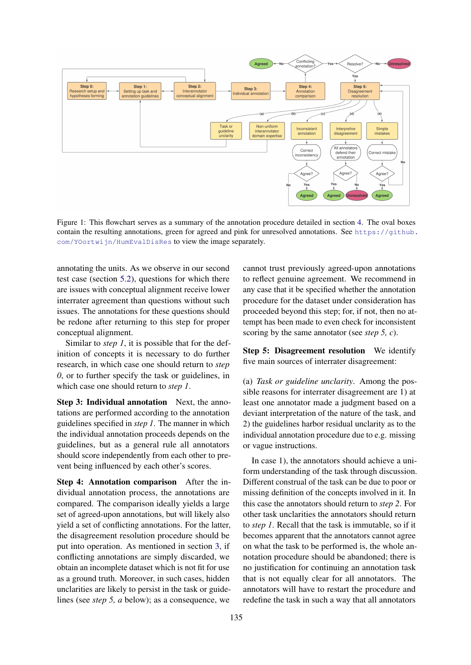<span id="page-5-0"></span>

Figure 1: This flowchart serves as a summary of the annotation procedure detailed in section [4.](#page-4-1) The oval boxes contain the resulting annotations, green for agreed and pink for unresolved annotations. See [https://github.](https://github.com/YOortwijn/HumEvalDisRes) [com/YOortwijn/HumEvalDisRes](https://github.com/YOortwijn/HumEvalDisRes) to view the image separately.

annotating the units. As we observe in our second test case (section [5.2\)](#page-8-0), questions for which there are issues with conceptual alignment receive lower interrater agreement than questions without such issues. The annotations for these questions should be redone after returning to this step for proper conceptual alignment.

Similar to *step 1*, it is possible that for the definition of concepts it is necessary to do further research, in which case one should return to *step 0*, or to further specify the task or guidelines, in which case one should return to *step 1*.

Step 3: Individual annotation Next, the annotations are performed according to the annotation guidelines specified in *step 1*. The manner in which the individual annotation proceeds depends on the guidelines, but as a general rule all annotators should score independently from each other to prevent being influenced by each other's scores.

Step 4: Annotation comparison After the individual annotation process, the annotations are compared. The comparison ideally yields a large set of agreed-upon annotations, but will likely also yield a set of conflicting annotations. For the latter, the disagreement resolution procedure should be put into operation. As mentioned in section [3,](#page-3-0) if conflicting annotations are simply discarded, we obtain an incomplete dataset which is not fit for use as a ground truth. Moreover, in such cases, hidden unclarities are likely to persist in the task or guidelines (see *step 5, a* below); as a consequence, we

cannot trust previously agreed-upon annotations to reflect genuine agreement. We recommend in any case that it be specified whether the annotation procedure for the dataset under consideration has proceeded beyond this step; for, if not, then no attempt has been made to even check for inconsistent scoring by the same annotator (see *step 5, c*).

Step 5: Disagreement resolution We identify five main sources of interrater disagreement:

(a) *Task or guideline unclarity*. Among the possible reasons for interrater disagreement are 1) at least one annotator made a judgment based on a deviant interpretation of the nature of the task, and 2) the guidelines harbor residual unclarity as to the individual annotation procedure due to e.g. missing or vague instructions.

In case 1), the annotators should achieve a uniform understanding of the task through discussion. Different construal of the task can be due to poor or missing definition of the concepts involved in it. In this case the annotators should return to *step 2*. For other task unclarities the annotators should return to *step 1*. Recall that the task is immutable, so if it becomes apparent that the annotators cannot agree on what the task to be performed is, the whole annotation procedure should be abandoned; there is no justification for continuing an annotation task that is not equally clear for all annotators. The annotators will have to restart the procedure and redefine the task in such a way that all annotators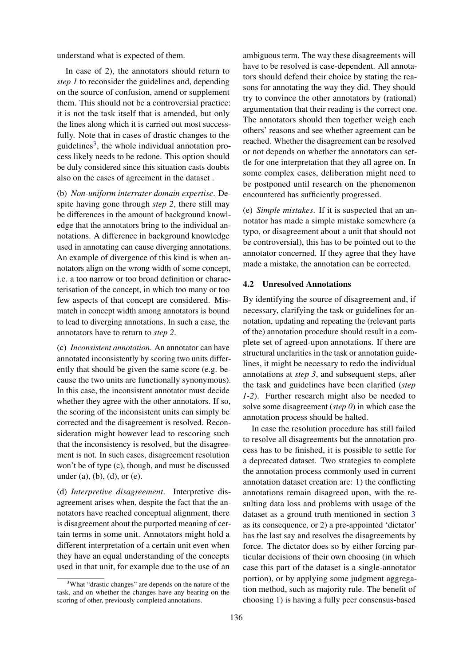understand what is expected of them.

In case of 2), the annotators should return to *step 1* to reconsider the guidelines and, depending on the source of confusion, amend or supplement them. This should not be a controversial practice: it is not the task itself that is amended, but only the lines along which it is carried out most successfully. Note that in cases of drastic changes to the guidelines<sup>[3](#page-6-0)</sup>, the whole individual annotation process likely needs to be redone. This option should be duly considered since this situation casts doubts also on the cases of agreement in the dataset .

(b) *Non-uniform interrater domain expertise*. Despite having gone through *step 2*, there still may be differences in the amount of background knowledge that the annotators bring to the individual annotations. A difference in background knowledge used in annotating can cause diverging annotations. An example of divergence of this kind is when annotators align on the wrong width of some concept, i.e. a too narrow or too broad definition or characterisation of the concept, in which too many or too few aspects of that concept are considered. Mismatch in concept width among annotators is bound to lead to diverging annotations. In such a case, the annotators have to return to *step 2*.

(c) *Inconsistent annotation*. An annotator can have annotated inconsistently by scoring two units differently that should be given the same score (e.g. because the two units are functionally synonymous). In this case, the inconsistent annotator must decide whether they agree with the other annotators. If so, the scoring of the inconsistent units can simply be corrected and the disagreement is resolved. Reconsideration might however lead to rescoring such that the inconsistency is resolved, but the disagreement is not. In such cases, disagreement resolution won't be of type (c), though, and must be discussed under (a), (b), (d), or (e).

(d) *Interpretive disagreement*. Interpretive disagreement arises when, despite the fact that the annotators have reached conceptual alignment, there is disagreement about the purported meaning of certain terms in some unit. Annotators might hold a different interpretation of a certain unit even when they have an equal understanding of the concepts used in that unit, for example due to the use of an

ambiguous term. The way these disagreements will have to be resolved is case-dependent. All annotators should defend their choice by stating the reasons for annotating the way they did. They should try to convince the other annotators by (rational) argumentation that their reading is the correct one. The annotators should then together weigh each others' reasons and see whether agreement can be reached. Whether the disagreement can be resolved or not depends on whether the annotators can settle for one interpretation that they all agree on. In some complex cases, deliberation might need to be postponed until research on the phenomenon encountered has sufficiently progressed.

(e) *Simple mistakes*. If it is suspected that an annotator has made a simple mistake somewhere (a typo, or disagreement about a unit that should not be controversial), this has to be pointed out to the annotator concerned. If they agree that they have made a mistake, the annotation can be corrected.

#### 4.2 Unresolved Annotations

By identifying the source of disagreement and, if necessary, clarifying the task or guidelines for annotation, updating and repeating the (relevant parts of the) annotation procedure should result in a complete set of agreed-upon annotations. If there are structural unclarities in the task or annotation guidelines, it might be necessary to redo the individual annotations at *step 3*, and subsequent steps, after the task and guidelines have been clarified (*step 1-2*). Further research might also be needed to solve some disagreement (*step 0*) in which case the annotation process should be halted.

In case the resolution procedure has still failed to resolve all disagreements but the annotation process has to be finished, it is possible to settle for a deprecated dataset. Two strategies to complete the annotation process commonly used in current annotation dataset creation are: 1) the conflicting annotations remain disagreed upon, with the resulting data loss and problems with usage of the dataset as a ground truth mentioned in section [3](#page-3-0) as its consequence, or 2) a pre-appointed 'dictator' has the last say and resolves the disagreements by force. The dictator does so by either forcing particular decisions of their own choosing (in which case this part of the dataset is a single-annotator portion), or by applying some judgment aggregation method, such as majority rule. The benefit of choosing 1) is having a fully peer consensus-based

<span id="page-6-0"></span><sup>&</sup>lt;sup>3</sup>What "drastic changes" are depends on the nature of the task, and on whether the changes have any bearing on the scoring of other, previously completed annotations.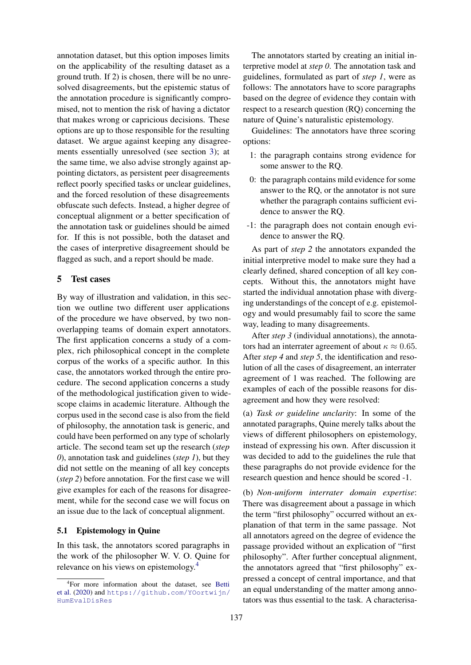annotation dataset, but this option imposes limits on the applicability of the resulting dataset as a ground truth. If 2) is chosen, there will be no unresolved disagreements, but the epistemic status of the annotation procedure is significantly compromised, not to mention the risk of having a dictator that makes wrong or capricious decisions. These options are up to those responsible for the resulting dataset. We argue against keeping any disagreements essentially unresolved (see section [3\)](#page-3-0); at the same time, we also advise strongly against appointing dictators, as persistent peer disagreements reflect poorly specified tasks or unclear guidelines, and the forced resolution of these disagreements obfuscate such defects. Instead, a higher degree of conceptual alignment or a better specification of the annotation task or guidelines should be aimed for. If this is not possible, both the dataset and the cases of interpretive disagreement should be flagged as such, and a report should be made.

#### <span id="page-7-2"></span>5 Test cases

By way of illustration and validation, in this section we outline two different user applications of the procedure we have observed, by two nonoverlapping teams of domain expert annotators. The first application concerns a study of a complex, rich philosophical concept in the complete corpus of the works of a specific author. In this case, the annotators worked through the entire procedure. The second application concerns a study of the methodological justification given to widescope claims in academic literature. Although the corpus used in the second case is also from the field of philosophy, the annotation task is generic, and could have been performed on any type of scholarly article. The second team set up the research (*step 0*), annotation task and guidelines (*step 1*), but they did not settle on the meaning of all key concepts (*step 2*) before annotation. For the first case we will give examples for each of the reasons for disagreement, while for the second case we will focus on an issue due to the lack of conceptual alignment.

#### <span id="page-7-0"></span>5.1 Epistemology in Quine

In this task, the annotators scored paragraphs in the work of the philosopher W. V. O. Quine for relevance on his views on epistemology.[4](#page-7-1)

The annotators started by creating an initial interpretive model at *step 0*. The annotation task and guidelines, formulated as part of *step 1*, were as follows: The annotators have to score paragraphs based on the degree of evidence they contain with respect to a research question (RQ) concerning the nature of Quine's naturalistic epistemology.

Guidelines: The annotators have three scoring options:

- 1: the paragraph contains strong evidence for some answer to the RQ.
- 0: the paragraph contains mild evidence for some answer to the RQ, or the annotator is not sure whether the paragraph contains sufficient evidence to answer the RQ.
- -1: the paragraph does not contain enough evidence to answer the RQ.

As part of *step 2* the annotators expanded the initial interpretive model to make sure they had a clearly defined, shared conception of all key concepts. Without this, the annotators might have started the individual annotation phase with diverging understandings of the concept of e.g. epistemology and would presumably fail to score the same way, leading to many disagreements.

After *step 3* (individual annotations), the annotators had an interrater agreement of about  $\kappa \approx 0.65$ . After *step 4* and *step 5*, the identification and resolution of all the cases of disagreement, an interrater agreement of 1 was reached. The following are examples of each of the possible reasons for disagreement and how they were resolved:

(a) *Task or guideline unclarity*: In some of the annotated paragraphs, Quine merely talks about the views of different philosophers on epistemology, instead of expressing his own. After discussion it was decided to add to the guidelines the rule that these paragraphs do not provide evidence for the research question and hence should be scored -1.

(b) *Non-uniform interrater domain expertise*: There was disagreement about a passage in which the term "first philosophy" occurred without an explanation of that term in the same passage. Not all annotators agreed on the degree of evidence the passage provided without an explication of "first philosophy". After further conceptual alignment, the annotators agreed that "first philosophy" expressed a concept of central importance, and that an equal understanding of the matter among annotators was thus essential to the task. A characterisa-

<span id="page-7-1"></span><sup>4</sup> For more information about the dataset, see [Betti](#page-10-13) [et al.](#page-10-13) [\(2020\)](#page-10-13) and [https://github.com/YOortwijn/](https://github.com/YOortwijn/HumEvalDisRes) [HumEvalDisRes](https://github.com/YOortwijn/HumEvalDisRes)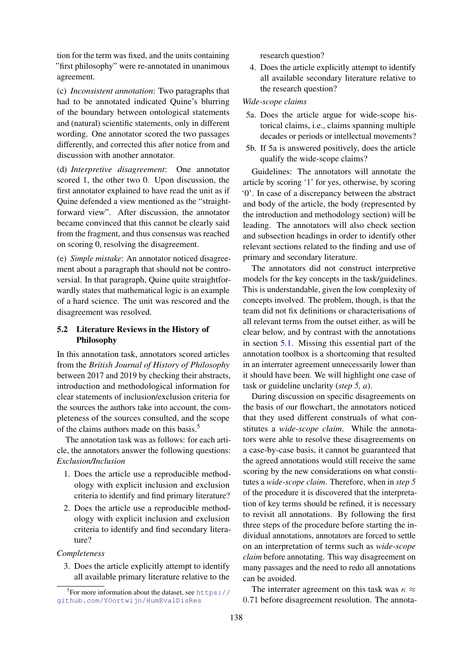tion for the term was fixed, and the units containing "first philosophy" were re-annotated in unanimous agreement.

(c) *Inconsistent annotation*: Two paragraphs that had to be annotated indicated Quine's blurring of the boundary between ontological statements and (natural) scientific statements, only in different wording. One annotator scored the two passages differently, and corrected this after notice from and discussion with another annotator.

(d) *Interpretive disagreement*: One annotator scored 1, the other two 0. Upon discussion, the first annotator explained to have read the unit as if Quine defended a view mentioned as the "straightforward view". After discussion, the annotator became convinced that this cannot be clearly said from the fragment, and thus consensus was reached on scoring 0, resolving the disagreement.

(e) *Simple mistake*: An annotator noticed disagreement about a paragraph that should not be controversial. In that paragraph, Quine quite straightforwardly states that mathematical logic is an example of a hard science. The unit was rescored and the disagreement was resolved.

# <span id="page-8-0"></span>5.2 Literature Reviews in the History of Philosophy

In this annotation task, annotators scored articles from the *British Journal of History of Philosophy* between 2017 and 2019 by checking their abstracts, introduction and methodological information for clear statements of inclusion/exclusion criteria for the sources the authors take into account, the completeness of the sources consulted, and the scope of the claims authors made on this basis.[5](#page-8-1)

The annotation task was as follows: for each article, the annotators answer the following questions: *Exclusion/Inclusion*

- 1. Does the article use a reproducible methodology with explicit inclusion and exclusion criteria to identify and find primary literature?
- 2. Does the article use a reproducible methodology with explicit inclusion and exclusion criteria to identify and find secondary literature?

#### *Completeness*

3. Does the article explicitly attempt to identify all available primary literature relative to the research question?

4. Does the article explicitly attempt to identify all available secondary literature relative to the research question?

# *Wide-scope claims*

- 5a. Does the article argue for wide-scope historical claims, i.e., claims spanning multiple decades or periods or intellectual movements?
- 5b. If 5a is answered positively, does the article qualify the wide-scope claims?

Guidelines: The annotators will annotate the article by scoring '1' for yes, otherwise, by scoring '0'. In case of a discrepancy between the abstract and body of the article, the body (represented by the introduction and methodology section) will be leading. The annotators will also check section and subsection headings in order to identify other relevant sections related to the finding and use of primary and secondary literature.

The annotators did not construct interpretive models for the key concepts in the task/guidelines. This is understandable, given the low complexity of concepts involved. The problem, though, is that the team did not fix definitions or characterisations of all relevant terms from the outset either, as will be clear below, and by contrast with the annotations in section [5.1.](#page-7-0) Missing this essential part of the annotation toolbox is a shortcoming that resulted in an interrater agreement unnecessarily lower than it should have been. We will highlight one case of task or guideline unclarity (*step 5, a*).

During discussion on specific disagreements on the basis of our flowchart, the annotators noticed that they used different construals of what constitutes a *wide-scope claim*. While the annotators were able to resolve these disagreements on a case-by-case basis, it cannot be guaranteed that the agreed annotations would still receive the same scoring by the new considerations on what constitutes a *wide-scope claim*. Therefore, when in *step 5* of the procedure it is discovered that the interpretation of key terms should be refined, it is necessary to revisit all annotations. By following the first three steps of the procedure before starting the individual annotations, annotators are forced to settle on an interpretation of terms such as *wide-scope claim* before annotating. This way disagreement on many passages and the need to redo all annotations can be avoided.

The interrater agreement on this task was  $\kappa \approx$ 0.71 before disagreement resolution. The annota-

<span id="page-8-1"></span> ${}^{5}$ For more information about the dataset, see [https://](https://github.com/YOortwijn/HumEvalDisRes) [github.com/YOortwijn/HumEvalDisRes](https://github.com/YOortwijn/HumEvalDisRes)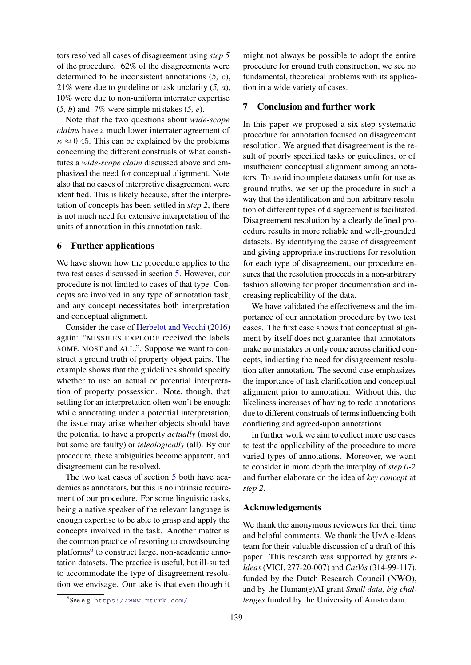tors resolved all cases of disagreement using *step 5* of the procedure. 62% of the disagreements were determined to be inconsistent annotations (*5, c*), 21% were due to guideline or task unclarity (*5, a*), 10% were due to non-uniform interrater expertise (*5, b*) and 7% were simple mistakes (*5, e*).

Note that the two questions about *wide-scope claims* have a much lower interrater agreement of  $\kappa \approx 0.45$ . This can be explained by the problems concerning the different construals of what constitutes a *wide-scope claim* discussed above and emphasized the need for conceptual alignment. Note also that no cases of interpretive disagreement were identified. This is likely because, after the interpretation of concepts has been settled in *step 2*, there is not much need for extensive interpretation of the units of annotation in this annotation task.

#### 6 Further applications

We have shown how the procedure applies to the two test cases discussed in section [5.](#page-7-2) However, our procedure is not limited to cases of that type. Concepts are involved in any type of annotation task, and any concept necessitates both interpretation and conceptual alignment.

Consider the case of [Herbelot and Vecchi](#page-10-5) [\(2016\)](#page-10-5) again: "MISSILES EXPLODE received the labels SOME, MOST and ALL.". Suppose we want to construct a ground truth of property-object pairs. The example shows that the guidelines should specify whether to use an actual or potential interpretation of property possession. Note, though, that settling for an interpretation often won't be enough: while annotating under a potential interpretation, the issue may arise whether objects should have the potential to have a property *actually* (most do, but some are faulty) or *teleologically* (all). By our procedure, these ambiguities become apparent, and disagreement can be resolved.

The two test cases of section [5](#page-7-2) both have academics as annotators, but this is no intrinsic requirement of our procedure. For some linguistic tasks, being a native speaker of the relevant language is enough expertise to be able to grasp and apply the concepts involved in the task. Another matter is the common practice of resorting to crowdsourcing platforms<sup>[6](#page-9-0)</sup> to construct large, non-academic annotation datasets. The practice is useful, but ill-suited to accommodate the type of disagreement resolution we envisage. Our take is that even though it

might not always be possible to adopt the entire procedure for ground truth construction, we see no fundamental, theoretical problems with its application in a wide variety of cases.

#### 7 Conclusion and further work

In this paper we proposed a six-step systematic procedure for annotation focused on disagreement resolution. We argued that disagreement is the result of poorly specified tasks or guidelines, or of insufficient conceptual alignment among annotators. To avoid incomplete datasets unfit for use as ground truths, we set up the procedure in such a way that the identification and non-arbitrary resolution of different types of disagreement is facilitated. Disagreement resolution by a clearly defined procedure results in more reliable and well-grounded datasets. By identifying the cause of disagreement and giving appropriate instructions for resolution for each type of disagreement, our procedure ensures that the resolution proceeds in a non-arbitrary fashion allowing for proper documentation and increasing replicability of the data.

We have validated the effectiveness and the importance of our annotation procedure by two test cases. The first case shows that conceptual alignment by itself does not guarantee that annotators make no mistakes or only come across clarified concepts, indicating the need for disagreement resolution after annotation. The second case emphasizes the importance of task clarification and conceptual alignment prior to annotation. Without this, the likeliness increases of having to redo annotations due to different construals of terms influencing both conflicting and agreed-upon annotations.

In further work we aim to collect more use cases to test the applicability of the procedure to more varied types of annotations. Moreover, we want to consider in more depth the interplay of *step 0-2* and further elaborate on the idea of *key concept* at *step 2*.

#### Acknowledgements

We thank the anonymous reviewers for their time and helpful comments. We thank the UvA e-Ideas team for their valuable discussion of a draft of this paper. This research was supported by grants *e-Ideas* (VICI, 277-20-007) and *CatVis* (314-99-117), funded by the Dutch Research Council (NWO), and by the Human(e)AI grant *Small data, big challenges* funded by the University of Amsterdam.

<span id="page-9-0"></span><sup>6</sup> See e.g. <https://www.mturk.com/>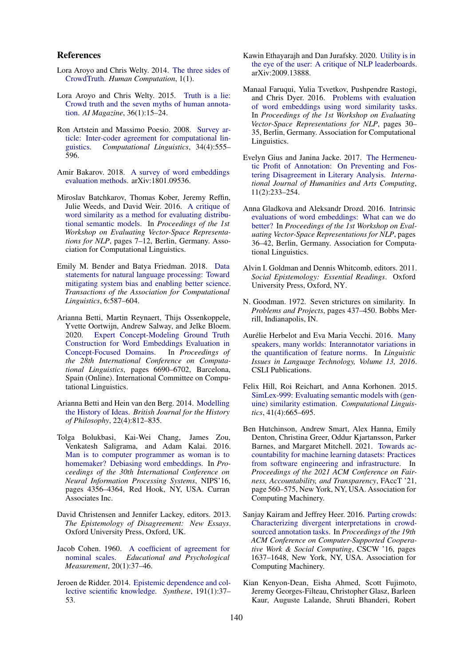#### References

- <span id="page-10-12"></span>Lora Aroyo and Chris Welty. 2014. [The three sides of](https://hcjournal.org/index.php/jhc/article/view/34) [CrowdTruth.](https://hcjournal.org/index.php/jhc/article/view/34) *Human Computation*, 1(1).
- <span id="page-10-3"></span>Lora Aroyo and Chris Welty. 2015. [Truth is a lie:](https://doi.org/10.1609/aimag.v36i1.2564) [Crowd truth and the seven myths of human annota](https://doi.org/10.1609/aimag.v36i1.2564)[tion.](https://doi.org/10.1609/aimag.v36i1.2564) *AI Magazine*, 36(1):15–24.
- <span id="page-10-10"></span>Ron Artstein and Massimo Poesio. 2008. [Survey ar](https://doi.org/10.1162/coli.07-034-R2)ticle: Inter-coder agreement for computational linguistics. Computational Linguistics. 34(4):555– Computational Linguistics, 34(4):555– 596.
- <span id="page-10-1"></span>Amir Bakarov. 2018. [A survey of word embeddings](https://arxiv.org/abs/1801.09536) [evaluation methods.](https://arxiv.org/abs/1801.09536) arXiv:1801.09536.
- <span id="page-10-7"></span>Miroslav Batchkarov, Thomas Kober, Jeremy Reffin, Julie Weeds, and David Weir. 2016. [A critique of](https://doi.org/10.18653/v1/W16-2502) [word similarity as a method for evaluating distribu](https://doi.org/10.18653/v1/W16-2502)[tional semantic models.](https://doi.org/10.18653/v1/W16-2502) In *Proceedings of the 1st Workshop on Evaluating Vector-Space Representations for NLP*, pages 7–12, Berlin, Germany. Association for Computational Linguistics.
- <span id="page-10-14"></span>Emily M. Bender and Batya Friedman. 2018. [Data](https://doi.org/10.1162/tacl_a_00041) [statements for natural language processing: Toward](https://doi.org/10.1162/tacl_a_00041) [mitigating system bias and enabling better science.](https://doi.org/10.1162/tacl_a_00041) *Transactions of the Association for Computational Linguistics*, 6:587–604.
- <span id="page-10-13"></span>Arianna Betti, Martin Reynaert, Thijs Ossenkoppele, Yvette Oortwijn, Andrew Salway, and Jelke Bloem. 2020. [Expert Concept-Modeling Ground Truth](https://doi.org/10.18653/v1/2020.coling-main.586) [Construction for Word Embeddings Evaluation in](https://doi.org/10.18653/v1/2020.coling-main.586) [Concept-Focused Domains.](https://doi.org/10.18653/v1/2020.coling-main.586) In *Proceedings of the 28th International Conference on Computational Linguistics*, pages 6690–6702, Barcelona, Spain (Online). International Committee on Computational Linguistics.
- <span id="page-10-22"></span>Arianna Betti and Hein van den Berg. 2014. [Modelling](https://doi.org/10.1080/09608788.2014.949217) [the History of Ideas.](https://doi.org/10.1080/09608788.2014.949217) *British Journal for the History of Philosophy*, 22(4):812–835.
- <span id="page-10-16"></span>Tolga Bolukbasi, Kai-Wei Chang, James Zou, Venkatesh Saligrama, and Adam Kalai. 2016. [Man is to computer programmer as woman is to](https://doi.org/10.5555/3157382.3157584) [homemaker? Debiasing word embeddings.](https://doi.org/10.5555/3157382.3157584) In *Proceedings of the 30th International Conference on Neural Information Processing Systems*, NIPS'16, pages 4356–4364, Red Hook, NY, USA. Curran Associates Inc.
- <span id="page-10-18"></span>David Christensen and Jennifer Lackey, editors. 2013. *The Epistemology of Disagreement: New Essays*. Oxford University Press, Oxford, UK.
- <span id="page-10-11"></span>Jacob Cohen. 1960. [A coefficient of agreement for](https://doi.org/10.1177/001316446002000104) [nominal scales.](https://doi.org/10.1177/001316446002000104) *Educational and Psychological Measurement*, 20(1):37–46.
- <span id="page-10-19"></span>Jeroen de Ridder. 2014. [Epistemic dependence and col](https://doi.org/10.1007/s11229-013-0283-3)[lective scientific knowledge.](https://doi.org/10.1007/s11229-013-0283-3) *Synthese*, 191(1):37– 53.
- <span id="page-10-2"></span>Kawin Ethayarajh and Dan Jurafsky. 2020. [Utility is in](https://arxiv.org/abs/2009.13888) [the eye of the user: A critique of NLP leaderboards.](https://arxiv.org/abs/2009.13888) arXiv:2009.13888.
- <span id="page-10-0"></span>Manaal Faruqui, Yulia Tsvetkov, Pushpendre Rastogi, and Chris Dyer. 2016. [Problems with evaluation](https://doi.org/10.18653/v1/W16-2506) [of word embeddings using word similarity tasks.](https://doi.org/10.18653/v1/W16-2506) In *Proceedings of the 1st Workshop on Evaluating Vector-Space Representations for NLP*, pages 30– 35, Berlin, Germany. Association for Computational Linguistics.
- <span id="page-10-20"></span>Evelyn Gius and Janina Jacke. 2017. [The Hermeneu](https://doi.org/10.3366/ijhac.2017.0194)[tic Profit of Annotation: On Preventing and Fos](https://doi.org/10.3366/ijhac.2017.0194)[tering Disagreement in Literary Analysis.](https://doi.org/10.3366/ijhac.2017.0194) *International Journal of Humanities and Arts Computing*, 11(2):233–254.
- <span id="page-10-8"></span>Anna Gladkova and Aleksandr Drozd. 2016. [Intrinsic](https://doi.org/10.18653/v1/W16-2507) [evaluations of word embeddings: What can we do](https://doi.org/10.18653/v1/W16-2507) [better?](https://doi.org/10.18653/v1/W16-2507) In *Proceedings of the 1st Workshop on Evaluating Vector-Space Representations for NLP*, pages 36–42, Berlin, Germany. Association for Computational Linguistics.
- <span id="page-10-17"></span>Alvin I. Goldman and Dennis Whitcomb, editors. 2011. *Social Epistemology: Essential Readings*. Oxford University Press, Oxford, NY.
- <span id="page-10-6"></span>N. Goodman. 1972. Seven strictures on similarity. In *Problems and Projects*, pages 437–450. Bobbs Merrill, Indianapolis, IN.
- <span id="page-10-5"></span>Aurélie Herbelot and Eva Maria Vecchi. 2016. [Many](https://www.aclweb.org/anthology/2016.lilt-13.2.pdf) [speakers, many worlds: Interannotator variations in](https://www.aclweb.org/anthology/2016.lilt-13.2.pdf) [the quantification of feature norms.](https://www.aclweb.org/anthology/2016.lilt-13.2.pdf) In *Linguistic Issues in Language Technology, Volume 13, 2016*. CSLI Publications.
- <span id="page-10-9"></span>Felix Hill, Roi Reichart, and Anna Korhonen. 2015. [SimLex-999: Evaluating semantic models with \(gen](https://doi.org/10.1162/COLI_a_00237)[uine\) similarity estimation.](https://doi.org/10.1162/COLI_a_00237) *Computational Linguistics*, 41(4):665–695.
- <span id="page-10-15"></span>Ben Hutchinson, Andrew Smart, Alex Hanna, Emily Denton, Christina Greer, Oddur Kjartansson, Parker Barnes, and Margaret Mitchell. 2021. [Towards ac](https://doi.org/10.1145/3442188.3445918)[countability for machine learning datasets: Practices](https://doi.org/10.1145/3442188.3445918) [from software engineering and infrastructure.](https://doi.org/10.1145/3442188.3445918) In *Proceedings of the 2021 ACM Conference on Fairness, Accountability, and Transparency*, FAccT '21, page 560–575, New York, NY, USA. Association for Computing Machinery.
- <span id="page-10-4"></span>Sanjay Kairam and Jeffrey Heer. 2016. [Parting crowds:](https://doi.org/10.1145/2818048.2820016) [Characterizing divergent interpretations in crowd](https://doi.org/10.1145/2818048.2820016)[sourced annotation tasks.](https://doi.org/10.1145/2818048.2820016) In *Proceedings of the 19th ACM Conference on Computer-Supported Cooperative Work & Social Computing*, CSCW '16, pages 1637–1648, New York, NY, USA. Association for Computing Machinery.
- <span id="page-10-21"></span>Kian Kenyon-Dean, Eisha Ahmed, Scott Fujimoto, Jeremy Georges-Filteau, Christopher Glasz, Barleen Kaur, Auguste Lalande, Shruti Bhanderi, Robert